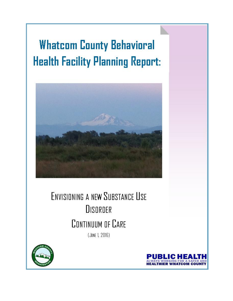# **Whatcom County Behavioral Health Facility Planning Report:**



## **ENVISIONING A NEW SUBSTANCE USE DISORDER** CONTINUUM OF CARE (JUNE 1, 2016)



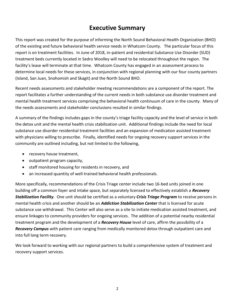## **Executive Summary**

This report was created for the purpose of informing the North Sound Behavioral Health Organization (BHO) of the existing and future behavioral health service needs in Whatcom County. The particular focus of this report is on treatment facilities. In June of 2018, in-patient and residential Substance Use Disorder (SUD) treatment beds currently located in Sedro Woolley will need to be relocated throughout the region. The facility's lease will terminate at that time. Whatcom County has engaged in an assessment process to determine local needs for these services, in conjunction with regional planning with our four county partners (Island, San Juan, Snohomish and Skagit) and the North Sound BHO.

Recent needs assessments and stakeholder meeting recommendations are a component of the report. The report facilitates a further understanding of the current needs in both substance use disorder treatment and mental health treatment services comprising the behavioral health continuum of care in the county. Many of the needs assessments and stakeholder conclusions resulted in similar findings.

A summary of the findings includes gaps in the county's triage facility capacity and the level of service in both the detox unit and the mental health crisis stabilization unit. Additional findings include the need for local substance use disorder residential treatment facilities and an expansion of medication assisted treatment with physicians willing to prescribe. Finally, identified needs for ongoing recovery support services in the community are outlined including, but not limited to the following,

- recovery house treatment,
- outpatient program capacity,
- staff monitored housing for residents in recovery, and
- an increased quantity of well-trained behavioral health professionals.

More specifically, recommendations of the Crisis Triage center include two 16-bed units joined in one building off a common foyer and intake space, but separately licensed to effectively establish a *Recovery Stabilization Facility.* One unit should be certified as a voluntary *Crisis Triage Program* to receive persons in mental health crisis and another should be an *Addiction Stabilization Center* that is licensed for acute substance use withdrawal. This Center will also serve as a site to initiate medication assisted treatment, and ensure linkages to community providers for ongoing services. The addition of a potential nearby residential treatment program and the development of a *Recovery House* level of care, affirm the possibility of a *Recovery Campus* with patient care ranging from medically monitored detox through outpatient care and into full long term recovery.

We look forward to working with our regional partners to build a comprehensive system of treatment and recovery support services.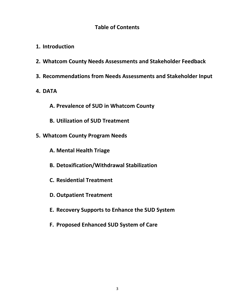## **Table of Contents**

- **1. Introduction**
- **2. Whatcom County Needs Assessments and Stakeholder Feedback**
- **3. Recommendations from Needs Assessments and Stakeholder Input**
- **4. DATA**
	- **A. Prevalence of SUD in Whatcom County**
	- **B. Utilization of SUD Treatment**
- **5. Whatcom County Program Needs** 
	- **A. Mental Health Triage**
	- **B. Detoxification/Withdrawal Stabilization**
	- **C. Residential Treatment**
	- **D. Outpatient Treatment**
	- **E. Recovery Supports to Enhance the SUD System**
	- **F. Proposed Enhanced SUD System of Care**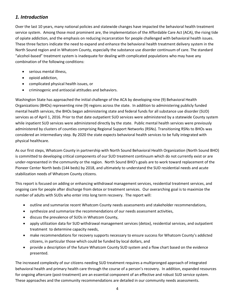## *1. Introduction*

Over the last 10 years, many national policies and statewide changes have impacted the behavioral health treatment service system. Among those most prominent are, the implementation of the Affordable Care Act (ACA), the rising tide of opiate addiction, and the emphasis on reducing incarceration for people challenged with behavioral health issues. These three factors indicate the need to expand and enhance the behavioral health treatment delivery system in the North Sound region and in Whatcom County, especially the substance use disorder continuum of care. The standard "alcohol-based" treatment system is inadequate for dealing with complicated populations who may have any combination of the following conditions:

- serious mental illness,
- opioid addiction,
- complicated physical health issues, or
- criminogenic and antisocial attitudes and behaviors.

Washington State has approached the initial challenge of the ACA by developing nine (9) Behavioral Health Organizations (BHOs) representing nine (9) regions across the state. In addition to administering publicly funded mental health services, the BHOs began administering state and federal funds for all substance use disorder (SUD) services as of April 1, 2016. Prior to that date outpatient SUD services were administered by a statewide County system while inpatient SUD services were administered directly by the state. Public mental health services were previously administered by clusters of counties comprising Regional Support Networks (RSNs). Transitioning RSNs to BHOs was considered an intermediary step. By 2020 the state expects behavioral health services to be fully integrated with physical healthcare.

As our first steps, Whatcom County in partnership with North Sound Behavioral Health Organization (North Sound BHO) is committed to developing critical components of our SUD treatment continuum which do not currently exist or are under-represented in the community or the region. North Sound BHO's goals are to work toward replacement of the Pioneer Center North beds (144 beds) by 2018, and ultimately to understand the SUD residential needs and acute stabilization needs of Whatcom County citizens.

This report is focused on adding or enhancing withdrawal management services, residential treatment services, and ongoing care for people after discharge from detox or treatment services. Our overarching goal is to maximize the number of adults with SUDs who enter into long term recovery. The report will:

- outline and summarize recent Whatcom County needs assessments and stakeholder recommendations,
- synthesize and summarize the recommendations of our needs assessment activities,
- discuss the prevalence of SUDs in Whatcom County,
- apply utilization data for SUD withdrawal management services (detox), residential services, and outpatient treatment to determine capacity needs,
- make recommendations for recovery supports necessary to ensure success for Whatcom County's addicted citizens, in particular those which could be funded by local dollars, and
- provide a description of the future Whatcom County SUD system and a flow chart based on the evidence presented.

The increased complexity of our citizens needing SUD treatment requires a multipronged approach of integrated behavioral health and primary health care through the course of a person's recovery. In addition, expanded resources for ongoing aftercare (post-treatment) are an essential component of an effective and robust SUD service system. These approaches and the community recommendations are detailed in our community needs assessments.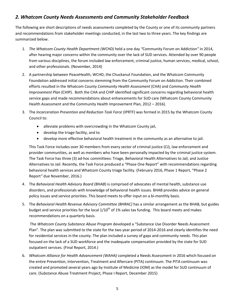## *2. Whatcom County Needs Assessments and Community Stakeholder Feedback*

The following are short descriptions of needs assessments completed by the County or one of its community partners and recommendations from stakeholder meetings conducted, in the last two to three years. The key findings are summarized below.

- 1. *The Whatcom County Health Department (WCHD)* held a one day *"*Community Forum on Addiction*"* in 2014, after hearing major concerns within the community over the lack of SUD services. Attended by over 90 people from various disciplines, the forum included law enforcement, criminal justice, human services, medical, school, and other professionals. (November, 2014)
- 2. A partnership between PeaceHealth, WCHD, the Chuckanut Foundation, and the Whatcom Community Foundation addressed initial concerns stemming from the Community Forum on Addiction. Their combined efforts resulted in the Whatcom County *Community Health Assessment* (CHA) and *Community Health Improvement Plan* (CHIP). Both the CHA and CHIP identified significant concerns regarding behavioral health service gaps and made recommendations about enhancements for SUD care (Whatcom County Community Health Assessment and the Community Health Improvement Plan, 2012 – 2016).
- 3. The *Incarceration Prevention and Reduction Task Force* (IPRTF) was formed in 2015 by the Whatcom County Council to:
	- alleviate problems with overcrowding in the Whatcom County jail,
	- develop the triage facility, and to
	- develop more effective behavioral health treatment in the community as an alternative to jail.

This Task Force includes over 30 members from every sector of criminal justice (CJ), law enforcement and provider communities, as well as members who have been personally impacted by the criminal justice system. The Task Force has three (3) ad-hoc committees: Triage, Behavioral Health Alternatives to Jail, and Justice Alternatives to Jail. Recently, the Task Force produced a "Phase One Report" with recommendations regarding behavioral health services and Whatcom County triage facility. (February 2016, Phase 1 Report, "Phase 2 Report*"* due November, 2016.)

- 4. The *Behavioral Health Advisory Board (BHAB*) is comprised of advocates of mental health, substance use disorders, and professionals with knowledge of behavioral health issues. BHAB provides advice on general policy issues and service priorities. This board meets to offer input on a bi-monthly basis.
- 5. The *Behavioral Health Revenue Advisory Committee (BHRAC)* has a similar arrangement as the BHAB, but guides budget and service priorities for the local  $1/10^{th}$  of 1% sales tax funding. This board meets and makes recommendations on a quarterly basis.

The *Whatcom County Substance Abuse Program* developed a "Substance Use Disorder Needs Assessment Plan". The plan was submitted to the state for the two year period of 2014-2016 and clearly identifies the need for residential services in the county. The plan included a survey of gaps and community needs. This plan focused on the lack of a SUD workforce and the inadequate compensation provided by the state for SUD outpatient services. (Final Report, 2014.)

6. *Whatcom Alliance for Health Advancement (WAHA)* completed a Needs Assessment in 2016 which focused on the entire Prevention, Intervention, Treatment and Aftercare (PITA) continuum. The PITA continuum was created and promoted several years ago by Institute of Medicine (IOM) as the model for SUD continuum of care. (Substance Abuse Treatment Project, Phase I Report, December 2015)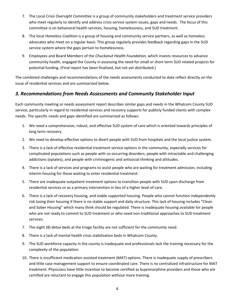- 7. The Local *Crisis Oversight Committee* is a group of community stakeholders and treatment service providers who meet regularly to identify and address crisis service system issues, gaps and needs. The focus of this committee is on behavioral health services, housing, homelessness, and SUD treatment.
- 8. The local *Homeless Coalition* is a group of housing and community service partners, as well as homeless advocates who meet on a regular basis. This group regularly provides feedback regarding gaps in the SUD service system where the gaps pertain to homelessness.
- 9. Employees and Board Members of the *Chuckanut Health Foundation,* which invests resources to advance community health, engaged the County in assessing the need for small or short term SUD related projects for potential funding. (Final report has been finalized, but not yet distributed.)

The combined challenges and recommendations of the needs assessments conducted to date reflect directly on the issue of residential services and are summarized below.

## *3. Recommendations from Needs Assessments and Community Stakeholder Input*

Each community meeting or needs assessment report describes similar gaps and needs in the Whatcom County SUD service, particularly in regard to residential services and recovery supports for publicly funded clients with complex needs. The specific needs and gaps identified are summarized as follows:

- 1. We need a comprehensive, robust, and effective SUD system of care which is oriented towards principles of long term recovery.
- 2. We need to develop effective options to divert people with SUD from hospitals and the local justice system.
- 3. There is a lack of effective residential treatment service options in the community, especially services for complicated populations such as people with co-occurring disorders, people with intractable and challenging addictions (opiates), and people with criminogenic and antisocial thinking and attitudes.
- 4. There is a lack of services and programs to assist people who are waiting for treatment admission, including interim housing for those waiting to enter residential treatment.
- 5. There are inadequate outpatient treatment options to transition people with SUD upon discharge from residential services or as a primary intervention in lieu of a higher level of care.
- 6. There is a lack of recovery housing, and stable supported housing. People who cannot function independently risk losing their housing if there is no stable support and daily structure. This lack of housing includes "Clean and Sober Housing" which many think should be regulated. There is inadequate housing available for people who are not ready to commit to SUD treatment or who need non-traditional approaches to SUD treatment services.
- 7. The eight (8) detox beds at the triage facility are not sufficient for the community need.
- 8. There is a lack of mental health crisis stabilization beds in Whatcom County.
- 9. The SUD workforce capacity in the county is inadequate and professionals lack the training necessary for the complexity of the population.
- 10. There is insufficient medication assisted treatment (MAT) options. There is inadequate supply of prescribers and little case management support to ensure coordinated care. There is no centralized infrastructure for MAT treatment. Physicians have little incentive to become certified as buprenorphine providers and those who are certified are reluctant to engage this population without more training.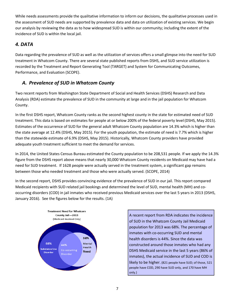While needs assessments provide the qualitative information to inform our decisions, the qualitative processes used in the assessment of SUD needs are supported by prevalence data and data on utilization of existing services. We begin our analysis by reviewing the data as to how widespread SUD is within our community; including the extent of the incidence of SUD is within the local jail.

## *4. DATA*

Data regarding the prevalence of SUD as well as the utilization of services offers a small glimpse into the need for SUD treatment in Whatcom County. There are several state published reports from DSHS, and SUD service utilization is recorded by the Treatment and Report Generating Tool (TARGET) and System for Communicating Outcomes, Performance, and Evaluation (SCOPE).

## *A. Prevalence of SUD in Whatcom County*

Two recent reports from Washington State Department of Social and Health Services (DSHS) Research and Data Analysis (RDA) estimate the prevalence of SUD in the community at large and in the jail population for Whatcom County.

In the first DSHS report, Whatcom County ranks as the second highest county in the state for estimated need of SUD treatment. This data is based on estimates for people at or below 200% of the federal poverty level (DSHS, May 2015). Estimates of the occurrence of SUD for the general adult Whatcom County population are 14.3% which is higher than the state average at 12.4% (DSHS, May 2015). For the youth population, the estimate of need is 7.7% which is higher than the statewide estimate of 6.9% (DSHS, May 2015). Historically, Whatcom County providers have provided adequate youth treatment sufficient to meet the demand for services.

In 2014, the United States Census Bureau estimated the County population to be 208,531 people. If we apply the 14.3% figure from the DSHS report above means that nearly 30,000 Whatcom County residents on Medicaid may have had a need for SUD treatment. If 1628 people were actually served in the treatment system, a significant gap remains between those who needed treatment and those who were actually served. (SCOPE, 2014)

In the second report, DSHS provides convincing evidence of the prevalence of SUD in our jail. This report compared Medicaid recipients with SUD related jail bookings and determined the level of SUD, mental health (MH) and cooccurring disorders (COD) in jail inmates who received previous Medicaid services over the last 5 years in 2013 (DSHS, January 2016). See the figures below for the results. (1A)



A recent report from RDA indicates the incidence of SUD in the Whatcom County Jail Medicaid population for 2013 was 68%. The percentage of inmates with co-occurring SUD and mental health disorders is 44%. Since the data was constructed around those inmates who had any DSHS Medicaid service in the last 5 years (86% of inmates), the actual incidence of SUD and COD is likely to be higher. (821 people have SUD; of those, 521 people have COD, 290 have SUD only, and 170 have MH only.)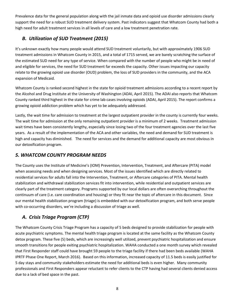Prevalence data for the general population along with the jail inmate data and opioid use disorder admissions clearly support the need for a robust SUD treatment delivery system. Past indicators suggest that Whatcom County had both a high need for adult treatment services in all levels of care and a low treatment penetration rate.

## *B. Utilization of SUD Treatment (2015)*

It's unknown exactly how many people would attend SUD treatment voluntarily, but with approximately 1906 SUD treatment admissions in Whatcom County in 2015, and a total of 1715 served, we are barely scratching the surface of the estimated SUD need for any type of service. When compared with the number of people who might be in need of and eligible for services, the need for SUD treatment far exceeds the capacity. Other issues impacting our capacity relate to the growing opioid use disorder (OUD) problem, the loss of SUD providers in the community, and the ACA expansion of Medicaid.

Whatcom County is ranked second highest in the state for opioid treatment admissions according to a recent report by the Alcohol and Drug Institute at the University of Washington (ADAI, April 2015). The ADAI also reports that Whatcom County ranked third highest in the state for crime lab cases involving opioids (ADAI, April 2015). The report confirms a growing opioid addiction problem which has yet to be adequately addressed.

Lastly, the wait time for admission to treatment at the largest outpatient provider in the county is currently four weeks. The wait time for admission at the only remaining outpatient provider is a minimum of 2 weeks. Treatment admission wait times have been consistently lengthy, especially since losing two of the four treatment agencies over the last five years. As a result of the implementation of the ACA and other variables, the need and demand for SUD treatment is high and capacity has diminished. The need for services and the demand for additional capacity are most obvious in our detoxification program.

## *5. WHATCOM COUNTY PROGRAM NEEDS*

The County uses the Institute of Medicine's (IOM) Prevention, Intervention, Treatment, and Aftercare (PITA) model when assessing needs and when designing services. Most of the issues identified which are directly related to residential services for adults fall into the Intervention, Treatment, or Aftercare categories of PITA. Mental health stabilization and withdrawal stabilization services fit into intervention, while residential and outpatient services are clearly part of the treatment category. Programs supported by our local dollars are often overarching throughout the continuum of care (i.e. care coordination and housing) or they fit near the topic of aftercare in this document. Since our mental health stabilization program (triage) is embedded with our detoxification program, and both serve people with co-occurring disorders, we're including a discussion of triage as well.

## *A. Crisis Triage Program (CTP)*

The Whatcom County Crisis Triage Program has a capacity of 5 beds designed to provide stabilization for people with acute psychiatric symptoms. The mental health triage program is located at the same facility as the Whatcom County detox program. These five (5) beds, which are increasingly well utilized, prevent psychiatric hospitalization and ensure smooth transitions for people exiting psychiatric hospitalization. WAHA conducted a one month survey which revealed that First Responder staff could have brought 59 people to the triage facility if there had been beds available (WAHA IPRTF Phase One Report, March 2016). Based on this information, increased capacity of 11.5 beds is easily justified for 5 day stays and community stakeholders estimate the need for additional beds is even higher. Many community professionals and First Responders appear reluctant to refer clients to the CTP having had several clients denied access due to a lack of bed space in the past.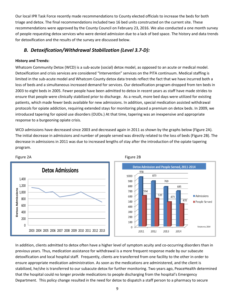Our local IPR Task Force recently made recommendations to County elected officials to increase the beds for both triage and detox. The final recommendations included two 16 bed units constructed on the current site. These recommendations were approved by the County Council on February 23, 2016. We also conducted a one month survey of people requesting detox services who were denied admission due to a lack of bed space. The history and data trends for detoxification and the results of the survey are discussed below.

## *B. Detoxification/Withdrawal Stabilization (Level 3.7-D):*

#### **History and Trends:**

Whatcom Community Detox (WCD) is a sub-acute (social) detox model, as opposed to an acute or medical model. Detoxification and crisis services are considered "Intervention" services on the PITA continuum. Medical staffing is limited in the sub-acute model and Whatcom County detox data trends reflect the fact that we have incurred both a loss of beds and a simultaneous increased demand for services. Our detoxification program dropped from ten beds in 2003 to eight beds in 2005. Fewer people have been admitted to detox in recent years as staff have made strides to ensure that people were clinically stabilized prior to discharge. As a result, more bed days were utilized for existing patients, which made fewer beds available for new admissions. In addition, special medication assisted withdrawal protocols for opiate addiction, requiring extended stays for monitoring placed a premium on detox beds. In 2009, we introduced tapering for opioid use disorders (OUDs.) At that time, tapering was an inexpensive and appropriate response to a burgeoning opiate crisis.

WCD admissions have decreased since 2003 and decreased again in 2011 as shown by the graphs below (Figure 2A). The initial decrease in admissions and number of people served was directly related to the loss of beds (Figure 2B). The decrease in admissions in 2011 was due to increased lengths of stay after the introduction of the opiate tapering program.



Figure 2A Figure 2B

In addition, clients admitted to detox often have a higher level of symptom acuity and co-occurring disorders than in previous years. Thus, medication assistance for withdrawal is a more frequent response made by our subacute detoxification and local hospital staff. Frequently, clients are transferred from one facility to the other in order to ensure appropriate medication administration. As soon as the medications are administered, and the client is stabilized, he/she is transferred to our subacute detox for further monitoring. Two years ago, PeaceHealth determined that the hospital could no longer provide medications to people discharging from the hospital's Emergency Department. This policy change resulted in the need for detox to dispatch a staff person to a pharmacy to secure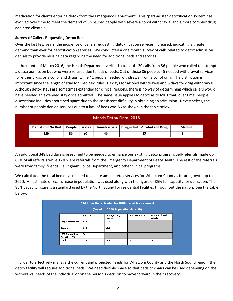medication for clients entering detox from the Emergency Department. This "para-acute" detoxification system has evolved over time to meet the demand of uninsured people with severe alcohol withdrawal and a more complex drug addicted clientele.

#### **Survey of Callers Requesting Detox Beds:**

Over the last few years, the incidence of callers requesting detoxification services increased, indicating a greater demand than ever for detoxification services. We conducted a one month survey of calls related to detox admission denials to provide missing data regarding the need for additional beds and services.

In the month of March 2016, the Health Department verified a total of 120 calls from 86 people who called to attempt a detox admission but who were refused due to lack of beds. Out of those 86 people, 45 needed withdrawal services for either drugs or alcohol and drugs, while 41 people needed withdrawal from alcohol only. The distinction is important since the length of stay for Medicaid rules is 3 days for alcohol withdrawal and 5 days for drug withdrawal. Although detox stays are sometimes extended for clinical reasons, there is no way of determining which callers would have needed an extended stay once admitted. The same issue applies to detox as to MHT that, over time, people discontinue inquiries about bed space due to the consistent difficulty in obtaining an admission. Nevertheless, the number of people denied services due to a lack of beds was 86 as shown in the table below.

| March Detox Data, 2016 |    |    |    |                                                                                    |         |  |  |  |
|------------------------|----|----|----|------------------------------------------------------------------------------------|---------|--|--|--|
|                        |    |    |    | Denials for No Bed   People   Males   Homelessness   Drug or both Alcohol and Drug | Alcohol |  |  |  |
| 120                    | 86 | 65 | 46 |                                                                                    | -41     |  |  |  |

An additional 348 bed days is presumed to be needed to enhance our existing detox program. Self-referrals made up 65% of all referrals while 12% were referrals from the Emergency Department of PeaceHealth. The rest of the referrals were from family, friends, Bellingham Police Department, and other clinical programs.

We calculated the total bed days needed to ensure ample detox services for Whatcom County's future growth up to 2020. An estimate of 8% increase in population was used along with the figure of 85% full capacity for utilization. The 85% capacity figure is a standard used by the North Sound for residential facilities throughout the nation. See the table below.

| (Based on 2020 Population Growth) |          |                                |               |                                  |  |  |
|-----------------------------------|----------|--------------------------------|---------------|----------------------------------|--|--|
|                                   | Bed days | <b>Average Daily</b><br>Census | 85% Occupancy | <b>Additional Beds</b><br>Needed |  |  |
| <b>Scope Admissions</b>           | 314      | 10.1                           |               |                                  |  |  |
| <b>Denials</b>                    | 348      | 11.2                           |               |                                  |  |  |
| 2020 Population<br>Growth at 8%   | 53       |                                |               |                                  |  |  |
| Total                             | 715      | 23.5                           | 20            | 15                               |  |  |

In order to effectively manage the current and projected needs for Whatcom County and the North Sound region, the detox facility will require additional beds. We need flexible space so that beds or chairs can be used depending on the withdrawal needs of the individual or on the person's decision to move forward in their recovery.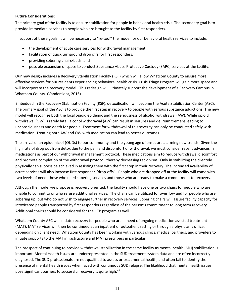#### **Future Considerations:**

The primary goal of the facility is to ensure stabilization for people in behavioral health crisis. The secondary goal is to provide immediate services to people who are brought to the facility by first responders.

In support of these goals, it will be necessary to "re-tool" the model for our behavioral health services to include:

- the development of acute care services for withdrawal management,
- facilitation of quick turnaround drop offs for first responders,
- providing sobering chairs/beds, and
- possible expansion of space to conduct Substance Abuse Protective Custody (SAPC) services at the facility.

Our new design includes a Recovery Stabilization Facility (RSF) which will allow Whatcom County to ensure more effective services for our residents experiencing behavioral health crisis. Crisis Triage Program will gain more space and will incorporate the recovery model. This redesign will ultimately support the development of a Recovery Campus in Whatcom County. (Vandersloot, 2016)

Embedded in the Recovery Stabilization Facility (RSF), detoxification will become the Acute Stabilization Center (ASC). The primary goal of the ASC is to provide the first step in recovery to people with serious substance addictions. The new model will recognize both the local opioid epidemic and the seriousness of alcohol withdrawal (AW). While opioid withdrawal (OW) is rarely fatal, alcohol withdrawal (AW) can result in seizures and delirium tremens leading to unconsciousness and death for people. Treatment for withdrawal of this severity can only be conducted safely with medication. Treating both AW and OW with medication can lead to better outcomes.

The arrival of an epidemic of (OUDs) to our community and the young age of onset are alarming new trends. Given the high rate of drop out from detox due to the pain and discomfort of withdrawal, we must consider recent advances in medications as part of our withdrawal management protocol. These medications aim to reduce withdrawal discomfort and promote completion of the withdrawal protocol, thereby decreasing recidivism. Only in stabilizing the clientele physically can success be achieved in assisting them with the first step in their recovery. The increased availability of acute services will also increase first responder "drop-offs". People who are dropped off at the facility will come with two levels of need; those who need sobering services and those who are ready to make a commitment to recovery.

Although the model we propose is recovery oriented, the facility should have one or two chairs for people who are unable to commit to or who refuse additional services. The chairs can be utilized for overflow and for people who are sobering up, but who do not wish to engage further in recovery services. Sobering chairs will assure facility capacity for intoxicated people transported by first responders regardless of the person's commitment to long term recovery. Additional chairs should be considered for the CTP program as well.

Whatcom County ASC will initiate recovery for people who are in need of ongoing medication assisted treatment (MAT). MAT services will then be continued at an inpatient or outpatient setting or through a physician's office, depending on client need. Whatcom County has been working with various clinics, medical partners, and providers to initiate supports to the MAT infrastructure and MAT prescribers in particular.

The prospect of continuing to provide withdrawal stabilization in the same facility as mental health (MH) stabilization is important. Mental Health issues are underrepresented in the SUD treatment system data and are often incorrectly diagnosed. The SUD professionals are not qualified to assess or treat mental health, and often fail to identify the presence of mental health issues when faced with continuous SUD relapse. The likelihood that mental health issues pose significant barriers to successful recovery is quite high.<sup>3,9</sup>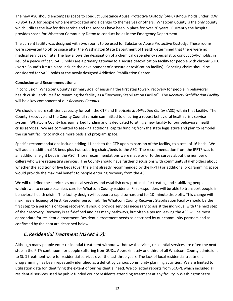The new ASC should encompass space to conduct Substance Abuse Protective Custody (SAPC) 8-hour holds under RCW 70.96A.120, for people who are intoxicated and a danger to themselves or others. Whatcom County is the only county which utilizes the law for this service and the services have been in place for over 20 years. Currently the hospital provides space for Whatcom Community Detox to conduct holds in the Emergency Department.

The current facility was designed with two rooms to be used for Substance Abuse Protective Custody. These rooms were converted to office space after the Washington State Department of Health determined that there were no medical services on site. The law allows the designation of a chemical dependency specialist to conduct SAPC holds, in lieu of a peace officer. SAPC holds are a primary gateway to a secure detoxification facility for people with chronic SUD. (North Sound's future plans include the development of a secure detoxification facility). Sobering chairs should be considered for SAPC holds at the newly designed Addiction Stabilization Center.

#### **Conclusion and Recommendations:**

In conclusion, Whatcom County's primary goal of ensuring the first step toward recovery for people in behavioral health crisis, lends itself to renaming the facility as a "Recovery Stabilization Facility". The *Recovery Stabilization Facility*  will be a key component of our *Recovery Campus*.

We should ensure sufficient capacity for both the CTP and the *Acute Stabilization Center* (ASC) within that facility. The County Executive and the County Council remain committed to ensuring a robust behavioral health crisis service system. Whatcom County has earmarked funding and is dedicated to siting a new facility for our behavioral health crisis services. We are committed to seeking additional capital funding from the state legislature and plan to remodel the current facility to include more beds and program space.

Specific recommendations include adding 11 beds to the CTP upon expansion of the facility, to a total of 16 beds. We will add an additional 13 beds plus two sobering chairs/beds to the ASC. The recommendation from the IPRTF was for an additional eight beds in the ASC. Those recommendations were made prior to the survey about the number of callers who were requesting services. The County should have further discussions with community stakeholders about whether the addition of five beds (over the eight already recommended by the IRPTF) or additional programming space would provide the maximal benefit to people entering recovery from the ASC.

We will redefine the services as medical services and establish new protocols for treating and stabilizing people in withdrawal to ensure seamless care for Whatcom County residents. First responders will be able to transport people in behavioral health crisis. The facility design will support a rapid turnaround for 10-minute drop offs. This change will maximize efficiency of First Responder personnel. The Whatcom County Recovery Stabilization Facility should be the first step to a person's ongoing recovery. It should provide services necessary to assist the individual with the next step of their recovery. Recovery is self-defined and has many pathways, but often a person leaving the ASC will be most appropriate for residential treatment. Residential treatment needs as described by our community partners and as confirmed by the data are described below.

## *C. Residential Treatment (ASAM 3.7):*

Although many people enter residential treatment without withdrawal services, residential services are often the next step in the PITA continuum for people suffering from SUDs. Approximately one third of all Whatcom County admissions to SUD treatment were for residential services over the last three years. The lack of local residential treatment programming has been repeatedly identified as a deficit by various community planning activities. We are limited to utilization data for identifying the extent of our residential need. We collected reports from SCOPE which included all residential services used by public funded county residents attending treatment at any facility in Washington State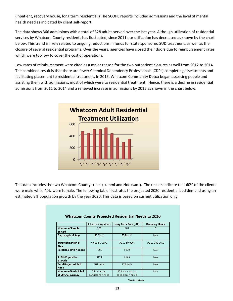(inpatient, recovery house, long term residential.) The SCOPE reports included admissions and the level of mental health need as indicated by client self-report.

The data shows 366 admissions with a total of 328 adults served over the last year. Although utilization of residential services by Whatcom County residents has fluctuated, since 2011 our utilization has decreased as shown by the chart below. This trend is likely related to ongoing reductions in funds for state sponsored SUD treatment, as well as the closure of several residential programs. Over the years, agencies have closed their doors due to reimbursement rates which were too low to cover the cost of operations.

Low rates of reimbursement were cited as a major reason for the two outpatient closures as well from 2012 to 2014. The combined result is that there are fewer Chemical Dependency Professionals (CDPs) completing assessments and facilitating placement to residential treatment. In 2015, Whatcom Community Detox began assessing people and assisting them with admissions, most of which were to residential treatment. Hence, there is a decline in residential admissions from 2011 to 2014 and a renewed increase in admissions by 2015 as shown in the chart below.



This data includes the two Whatcom County tribes (Lummi and Nooksack). The results indicate that 60% of the clients were male while 40% were female. The following table illustrates the projected 2020 residential bed demand using an estimated 8% population growth by the year 2020. This data is based on current utilization only.

| Intensive Inpatient                | Long Term Care (LTC)                   | <b>Recovery Home</b> |
|------------------------------------|----------------------------------------|----------------------|
| 260                                | 101                                    | 5                    |
| 22 Days                            | 42 Days*                               | N/A                  |
| Up to 30 days                      | Up to 60 days                          | Up to 180 days       |
| 7800                               | 6060                                   | N/A                  |
| 8424                               | 6545                                   | N/A                  |
| 281 beds                           | 109 beds                               | N/A                  |
| 224 must be<br>consistently filled | 87 beds must be<br>consistently filled | N/A                  |
|                                    |                                        |                      |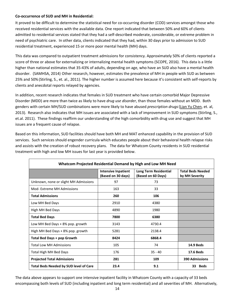#### **Co-occurrence of SUD and MH in Residential:**

It proved to be difficult to determine the statistical need for co-occurring disorder (COD) services amongst those who received residential services with the available data. One report indicated that between 50% and 60% of clients admitted to residential services stated that they had a self-described moderate, considerable, or extreme problem in need of psychiatric care. In other data, clients indicated that they had, within 30 days prior to admission to SUD residential treatment, experienced 15 or more poor mental health (MH) days.

This data was compared to outpatient treatment admissions for consistency. Approximately 50% of clients reported a score of three or above for externalizing or internalizing mental health symptoms (SCOPE, 2016). This data is a little higher than national estimates that 35-43% of adults, depending on age, who have an SUD also have a mental health disorder. (SAMHSA, 2014) Other research, however, estimates the prevalence of MH in people with SUD as between 25% and 50% (Stirling, S., et. al., 2011). The higher number is assumed here because it's consistent with self-reports by clients and anecdotal reports relayed by agencies.

In addition, recent research indicates that females in SUD treatment who have certain comorbid Major Depressive Disorder (MDD) are more than twice as likely to have *drug use disorder*, than those females without an MDD. Both genders with certain MH/SUD combinations were more likely to have abused *prescription drugs*[\(Lian Yu Chen,](http://www.ncbi.nlm.nih.gov/pubmed/?term=Chen%20LY%5Bauth%5D) et. al, 2013). Research also indicates that MH issues are associated with a lack of improvement in SUD symptoms (Stirling, S., et.al. 2011). These findings reaffirm our understanding of the high comorbidity with drug use and suggest that MH issues are a frequent cause of relapse.

Based on this information, SUD facilities should have both MH and MAT enhanced capability in the provision of SUD services. Such services should engender curricula which educates people about their behavioral health relapse risks and assists with the creation of robust recovery plans. The data for Whatcom County residents in SUD residential treatment with high and low MH issues for last year is provided below.

| Whatcom Projected Residential Demand by High and Low MH Need |                                                  |                                                    |                                            |  |  |  |  |  |  |
|--------------------------------------------------------------|--------------------------------------------------|----------------------------------------------------|--------------------------------------------|--|--|--|--|--|--|
|                                                              | <b>Intensive Inpatient</b><br>(Based on 30 days) | <b>Long Term Residential</b><br>(Based on 60 Days) | <b>Total Beds Needed</b><br>by MH Severity |  |  |  |  |  |  |
| Unknown, none or slight MH Admissions                        | 97                                               | 73                                                 |                                            |  |  |  |  |  |  |
| Mod-Extreme MH Admissions                                    | 163                                              | 33                                                 |                                            |  |  |  |  |  |  |
| <b>Total Admissions</b>                                      | 260                                              | 106                                                |                                            |  |  |  |  |  |  |
| Low MH Bed Days                                              | 2910                                             | 4380                                               |                                            |  |  |  |  |  |  |
| High MH Bed Days                                             | 4890                                             | 1980                                               |                                            |  |  |  |  |  |  |
| <b>Total Bed Days</b>                                        | 7800                                             | 6380                                               |                                            |  |  |  |  |  |  |
| Low MH Bed Days + 8% pop. growth                             | 3143                                             | 4730.4                                             |                                            |  |  |  |  |  |  |
| High MH Bed Days + 8% pop. growth                            | 5281                                             | 2138.4                                             |                                            |  |  |  |  |  |  |
| <b>Total Bed Days + pop Growth</b>                           | 8424                                             | 6868.4                                             |                                            |  |  |  |  |  |  |
| <b>Total Low MH Admissions</b>                               | 105                                              | 74                                                 | <b>14.9 Beds</b>                           |  |  |  |  |  |  |
| <b>Total High MH Bed Days</b>                                | 176                                              | $35 - 40$                                          | <b>17.6 Beds</b>                           |  |  |  |  |  |  |
| <b>Projected Total Admissions</b>                            | 281                                              | 109                                                | <b>390 Admissions</b>                      |  |  |  |  |  |  |
| <b>Total Beds Needed by SUD level of Care</b>                | 23.4                                             | 9.1                                                | <b>Beds</b><br>33                          |  |  |  |  |  |  |

The data above appears to support one intensive inpatient facility in Whatcom County with a capacity of 33 beds encompassing both levels of SUD (including inpatient and long term residential) and all severities of MH. Alternatively,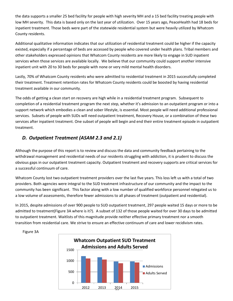the data supports a smaller 25 bed facility for people with high severity MH and a 15 bed facility treating people with low MH severity. This data is based only on the last year of utilization. Over 15 years ago, PeaceHealth had 18 beds for inpatient treatment. Those beds were part of the statewide residential system but were heavily utilized by Whatcom County residents.

Additional qualitative information indicates that our utilization of residential treatment could be higher if the capacity existed, especially if a percentage of beds are accessed by people who covered under health plans. Tribal members and other stakeholders expressed opinions that Whatcom County residents are more likely to engage in SUD inpatient services when those services are available locally. We believe that our community could support another intensive inpatient unit with 20 to 30 beds for people with none or very mild mental health disorders.

Lastly, 70% of Whatcom County residents who were admitted to residential treatment in 2015 successfully completed their treatment. Treatment retention rates for Whatcom County residents could be boosted by having residential treatment available in our community.

The odds of getting a clean start on recovery are high while in a residential treatment program. Subsequent to completion of a residential treatment program the next step, whether it's admission to an outpatient program or into a support network which embodies a clean and sober lifestyle, is essential. Most people will need additional professional services. Subsets of people with SUDs will need outpatient treatment, Recovery House, or a combination of these two services after inpatient treatment. One subset of people will begin and end their entire treatment episode in outpatient treatment.

## *D. Outpatient Treatment (ASAM 2.3 and 2.1)*

Although the purpose of this report is to review and discuss the data and community feedback pertaining to the withdrawal management and residential needs of our residents struggling with addiction, it is prudent to discuss the obvious gaps in our outpatient treatment capacity. Outpatient treatment and recovery supports are critical services for a successful continuum of care.

Whatcom County lost two outpatient treatment providers over the last five years. This loss left us with a total of two providers. Both agencies were integral to the SUD treatment infrastructure of our community and the impact to the community has been significant. This factor along with a low number of qualified workforce personnel relegated us to a low volume of assessments, therefore fewer admissions to all phases of treatment (outpatient and residential).

In 2015, despite admissions of over 900 people to SUD outpatient treatment, 297 people waited 15 days or more to be admitted to treatment(Figure 3A where is it?). A subset of 132 of those people waited for over 30 days to be admitted to outpatient treatment. Waitlists of this magnitude provide neither effective primary treatment nor a smooth transition from residential care. We strive to ensure an effective continuum of care and lower recidivism rates.



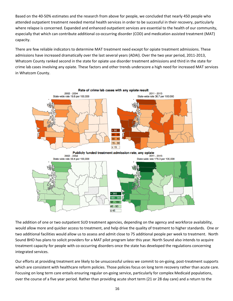Based on the 40-50% estimates and the research from above for people, we concluded that nearly 450 people who attended outpatient treatment needed mental health services in order to be successful in their recovery, particularly where relapse is concerned. Expanded and enhanced outpatient services are essential to the health of our community, especially that which can contribute additional co-occurring disorder (COD) and medication assisted treatment (MAT) capacity.

There are few reliable indicators to determine MAT treatment need except for opiate treatment admissions. These admissions have increased dramatically over the last several years (ADAI). Over the two year period, 2011-2013, Whatcom County ranked second in the state for opiate use disorder treatment admissions and third in the state for crime lab cases involving any opiate. These factors and other trends underscore a high need for increased MAT services in Whatcom County.



The addition of one or two outpatient SUD treatment agencies, depending on the agency and workforce availability, would allow more and quicker access to treatment, and help drive the quality of treatment to higher standards. One or two additional facilities would allow us to assess and admit close to 75 additional people per week to treatment. North Sound BHO has plans to solicit providers for a MAT pilot program later this year. North Sound also intends to acquire treatment capacity for people with co-occurring disorders once the state has developed the regulations concerning integrated services.

Our efforts at providing treatment are likely to be unsuccessful unless we commit to on-going, post-treatment supports which are consistent with healthcare reform policies. Those policies focus on long term recovery rather than acute care. Focusing on long term care entails ensuring regular on-going service, particularly for complex Medicaid populations, over the course of a five year period. Rather than providing acute short term (21 or 28 day care) and a return to the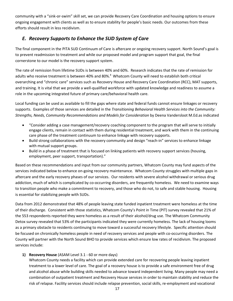community with a "sink-or-swim" skill set, we can provide Recovery Care Coordination and housing options to ensure ongoing engagement with clients as well as to ensure stability for people's basic needs. Our outcomes from these efforts should result in less recidivism.

## *E. Recovery Supports to Enhance the SUD System of Care*

The final component in the PITA SUD Continuum of Care is aftercare or ongoing recovery support. North Sound's goal is to prevent readmission to treatment and while our proposed model and program support that goal, the final cornerstone to our model is the recovery support system.

The rate of remission from lifetime SUDs is between 40% and 60%. Research indicates that the rate of remission for adults who receive treatment is between 40% and 80%.<sup>8</sup> Whatcom County will need to establish both critical overarching and "chronic care" services such as Recovery House and Recovery Care Coordination (RCC), MAT supports, and training. It is vital that we provide a well-qualified workforce with updated knowledge and readiness to assume a role in the upcoming integrated future of primary care/behavioral health care.

Local funding can be used as available to fill the gaps where state and federal funds cannot ensure linkages or recovery supports. Examples of those services are detailed in the *Transitioning Behavioral Health Services into the Community: Strengths, Needs, Community Recommendations and Models for Consideration* by Deena Vandersloot M.Ed.as indicated

- "Consider adding a case management/recovery coaching component to the program that will serve to initially engage clients, remain in contact with them during residential treatment, and work with them in the continuing care phase of the treatment continuum to enhance linkage with recovery supports.
- Build strong collaborations with the recovery community and design "reach-in" services to enhance linkage with mutual support groups.
- Build in a phase of treatment that is focused on linking patients with recovery support services (housing, employment, peer support, transportation)."

Based on these recommendations and input from our community partners, Whatcom County may fund aspects of the services indicated below to enhance on-going recovery maintenance. Whatcom County struggles with multiple gaps in aftercare and the early recovery phases of our services. Our residents with severe alcohol withdrawal or serious drug addiction, much of which is complicated by co-occurring disorders, are frequently homeless. We need to examine ways to transition people who make a commitment to recovery, and those who do not, to safe and stable housing. Housing is essential for stabilizing people with SUDs.

Data from 2012 demonstrated that 48% of people leaving state funded inpatient treatment were homeless at the time of their discharge. Consistent with those statistics, Whatcom County's Point in Time (PIT) survey revealed that 21% of the 553 respondents reported they were homeless as a result of their alcohol/drug use. The Whatcom Community Detox survey revealed that 53% of the participants indicated they were currently homeless. The lack of housing looms as a primary obstacle to residents continuing to move toward a successful recovery lifestyle. Specific attention should be focused on chronically homeless people in need of recovery services and people with co-occurring disorders. The County will partner with the North Sound BHO to provide services which ensure low rates of recidivism. The proposed services include:

#### **1) Recovery House** (ASAM Level 3.1 - 60 or more days)

Whatcom County needs a facility which can provide extended care for recovering people leaving inpatient treatment to a lower level of care. The goal of a recovery house is to provide a safe environment free of drug and alcohol abuse while building skills needed to advance toward independent living. Many people may need a combination of outpatient treatment and Recovery House services in order to maintain stability and reduce the risk of relapse. Facility services should include relapse prevention, social skills, re-employment and vocational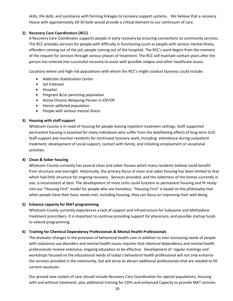skills, life skills, and assistance with forming linkages to recovery support systems. We believe that a recovery House with approximately 20-30 beds would provide a critical element to our continuum of care.

#### **2) Recovery Care Coordinators (RCC)**

A Recovery Care Coordinator supports people in early recovery by ensuring connections to community services. The RCC provides services for people with difficulty in functioning (such as people with serious mental illness, offenders coming out of the jail, people coming out of the hospital). The RCC's work begins from the moment of the request for services through various phases of treatment. The RCC will maintain contact years after the person has entered into successful recovery to assist with possible relapse and other healthcare issues.

Locations where and high risk populations with whom the RCC's might conduct business could include:

- Addiction Stabilization Center
- Jail (release)
- Hospital
- Pregnant &/or parenting population
- Active Chronic Relapsing Person in IOP/OP
- Heroin addicted population
- People with serious mental illness

#### **3) Housing with staff support**

Whatcom County is in need of housing for people leaving inpatient treatment settings. Staff supported permanent housing is essential for many individuals who suffer from the debilitating effects of long term SUD. Staff support and monitor residents for continued recovery work, including: attendance during outpatient treatment, development of social support, contact with family, and initiating employment or vocational activities.

#### **4) Clean & Sober housing**

Whatcom County currently has several clean and sober houses which many residents believe could benefit from structure and oversight. Historically, the primary focus of clean and sober housing has been limited to that which had little structure for ongoing recovery. Services provided, and the soberness of the homes currently in use, is inconsistent at best. The development of more units could function as permanent housing and fit nicely into our "Housing First" model for people who are homeless. "Housing First" is based on the philosophy that when people have their basic needs met, including housing, they can focus on improving their well-being.

#### **5) Enhance capacity for MAT programming**

Whatcom County currently experiences a lack of support and infrastructure for Suboxone and Methadone treatment prescribers. It is important to continue providing support for physicians, and possible startup funds to extend programming.

#### **6) Training for Chemical Dependency Professionals & Mental Health Professionals**

The dramatic changes in the provision of behavioral health care in addition to ever increasing needs of people with substance use disorders and mental health issues requires that chemical dependency and mental health professionals receive extensive, ongoing education to be effective. Development of regular trainings and workshops focused on the educational needs of today's behavioral health professional will not only enhance the services provided in the community, but will serve to attract additional professionals that are needed to fill current vacancies.

Our prosed new system of care should include Recovery Care Coordination for special populations, housing with and without treatment, plus additional training for CDPs and enhanced Capacity to provide MAT services.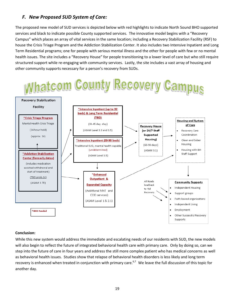## *F. New Proposed SUD System of Care:*

The proposed new model of SUD services is depicted below with red highlights to indicate North Sound BHO supported services and black to indicate possible County supported services. The innovative model begins with a "Recovery Campus" which places an array of vital services in the same location; including a Recovery Stabilization Facility (RSF) to house the Crisis Triage Program and the Addiction Stabilization Center. It also includes two Intensive Inpatient and Long Term Residential programs; one for people with serious mental illness and the other for people with few or no mental health issues. The site includes a "Recovery House" for people transitioning to a lower level of care but who still require structured support while re-engaging with community services. Lastly, the site includes a vast array of housing and other community supports necessary for a person's recovery from SUDs.



#### **Conclusion:**

While this new system would address the immediate and escalating needs of our residents with SUD, the new models will also begin to reflect the future of integrated behavioral health care with primary care. Only by doing so, can we step into the future of care in four years and address the still more complex patient who has medical concerns as well as behavioral health issues. Studies show that relapse of behavioral health disorders is less likely and long term recovery is enhanced when treated in conjunction with primary care.<sup>6,7</sup> We leave the full discussion of this topic for another day.